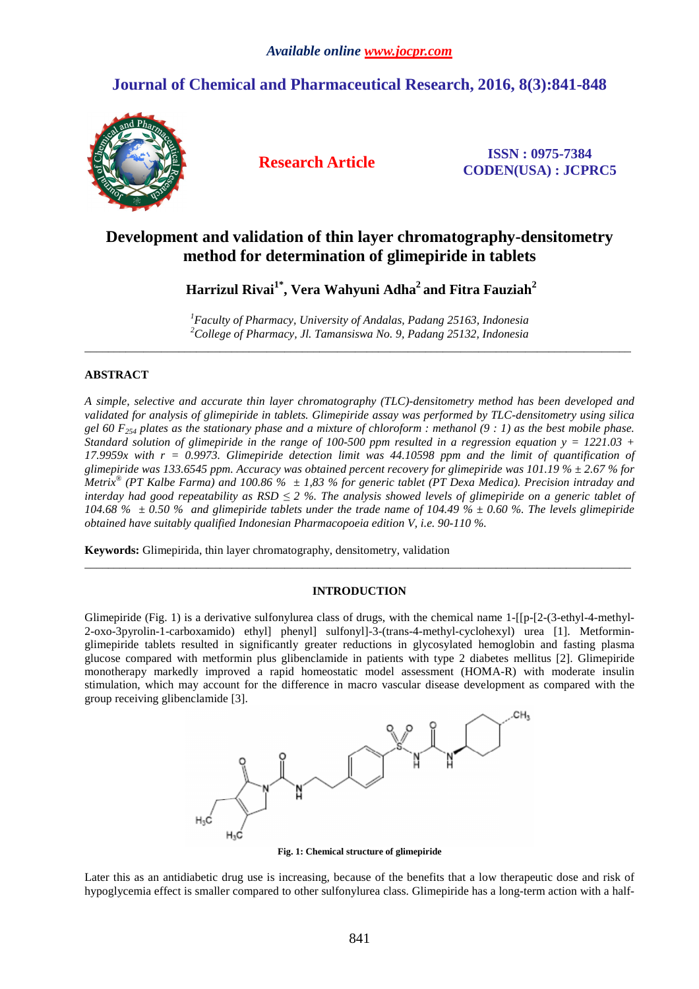# **Journal of Chemical and Pharmaceutical Research, 2016, 8(3):841-848**



**Research Article ISSN : 0975-7384 CODEN(USA) : JCPRC5**

# **Development and validation of thin layer chromatography-densitometry method for determination of glimepiride in tablets**

 **Harrizul Rivai1\*, Vera Wahyuni Adha<sup>2</sup>and Fitra Fauziah<sup>2</sup>**

*<sup>1</sup>Faculty of Pharmacy, University of Andalas, Padang 25163, Indonesia <sup>2</sup>College of Pharmacy, Jl. Tamansiswa No. 9, Padang 25132, Indonesia*  \_\_\_\_\_\_\_\_\_\_\_\_\_\_\_\_\_\_\_\_\_\_\_\_\_\_\_\_\_\_\_\_\_\_\_\_\_\_\_\_\_\_\_\_\_\_\_\_\_\_\_\_\_\_\_\_\_\_\_\_\_\_\_\_\_\_\_\_\_\_\_\_\_\_\_\_\_\_\_\_\_\_\_\_\_\_\_\_\_\_\_\_\_

# **ABSTRACT**

*A simple, selective and accurate thin layer chromatography (TLC)-densitometry method has been developed and validated for analysis of glimepiride in tablets. Glimepiride assay was performed by TLC-densitometry using silica gel 60 F254 plates as the stationary phase and a mixture of chloroform : methanol (9 : 1) as the best mobile phase. Standard solution of glimepiride in the range of 100-500 ppm resulted in a regression equation y = 1221.03 + 17.9959x with r = 0.9973. Glimepiride detection limit was 44.10598 ppm and the limit of quantification of glimepiride was 133.6545 ppm. Accuracy was obtained percent recovery for glimepiride was 101.19 % ± 2.67 % for Metrix® (PT Kalbe Farma) and 100.86 % ± 1,83 % for generic tablet (PT Dexa Medica). Precision intraday and interday had good repeatability as RSD ≤ 2 %. The analysis showed levels of glimepiride on a generic tablet of 104.68 % ± 0.50 % and glimepiride tablets under the trade name of 104.49 % ± 0.60 %. The levels glimepiride obtained have suitably qualified Indonesian Pharmacopoeia edition V, i.e. 90-110 %.* 

**Keywords:** Glimepirida, thin layer chromatography, densitometry, validation

### **INTRODUCTION**

\_\_\_\_\_\_\_\_\_\_\_\_\_\_\_\_\_\_\_\_\_\_\_\_\_\_\_\_\_\_\_\_\_\_\_\_\_\_\_\_\_\_\_\_\_\_\_\_\_\_\_\_\_\_\_\_\_\_\_\_\_\_\_\_\_\_\_\_\_\_\_\_\_\_\_\_\_\_\_\_\_\_\_\_\_\_\_\_\_\_\_\_\_

Glimepiride (Fig. 1) is a derivative sulfonylurea class of drugs, with the chemical name 1-[[p-[2-(3-ethyl-4-methyl-2-oxo-3pyrolin-1-carboxamido) ethyl] phenyl] sulfonyl]-3-(trans-4-methyl-cyclohexyl) urea [1]. Metforminglimepiride tablets resulted in significantly greater reductions in glycosylated hemoglobin and fasting plasma glucose compared with metformin plus glibenclamide in patients with type 2 diabetes mellitus [2]. Glimepiride monotherapy markedly improved a rapid homeostatic model assessment (HOMA-R) with moderate insulin stimulation, which may account for the difference in macro vascular disease development as compared with the group receiving glibenclamide [3].



**Fig. 1: Chemical structure of glimepiride** 

Later this as an antidiabetic drug use is increasing, because of the benefits that a low therapeutic dose and risk of hypoglycemia effect is smaller compared to other sulfonylurea class. Glimepiride has a long-term action with a half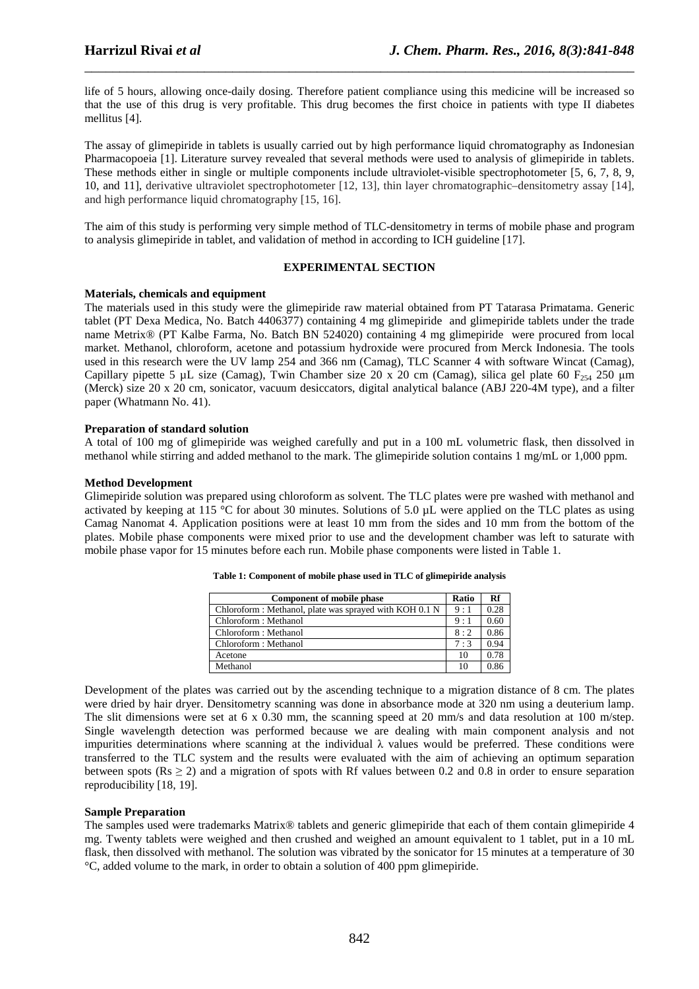life of 5 hours, allowing once-daily dosing. Therefore patient compliance using this medicine will be increased so that the use of this drug is very profitable. This drug becomes the first choice in patients with type II diabetes mellitus [4].

\_\_\_\_\_\_\_\_\_\_\_\_\_\_\_\_\_\_\_\_\_\_\_\_\_\_\_\_\_\_\_\_\_\_\_\_\_\_\_\_\_\_\_\_\_\_\_\_\_\_\_\_\_\_\_\_\_\_\_\_\_\_\_\_\_\_\_\_\_\_\_\_\_\_\_\_\_\_

The assay of glimepiride in tablets is usually carried out by high performance liquid chromatography as Indonesian Pharmacopoeia [1]. Literature survey revealed that several methods were used to analysis of glimepiride in tablets. These methods either in single or multiple components include ultraviolet-visible spectrophotometer [5, 6, 7, 8, 9, 10, and 11], derivative ultraviolet spectrophotometer [12, 13], thin layer chromatographic–densitometry assay [14], and high performance liquid chromatography [15, 16].

The aim of this study is performing very simple method of TLC-densitometry in terms of mobile phase and program to analysis glimepiride in tablet, and validation of method in according to ICH guideline [17].

### **EXPERIMENTAL SECTION**

#### **Materials, chemicals and equipment**

The materials used in this study were the glimepiride raw material obtained from PT Tatarasa Primatama. Generic tablet (PT Dexa Medica, No. Batch 4406377) containing 4 mg glimepiride and glimepiride tablets under the trade name Metrix® (PT Kalbe Farma, No. Batch BN 524020) containing 4 mg glimepiride were procured from local market. Methanol, chloroform, acetone and potassium hydroxide were procured from Merck Indonesia. The tools used in this research were the UV lamp 254 and 366 nm (Camag), TLC Scanner 4 with software Wincat (Camag), Capillary pipette 5 µL size (Camag), Twin Chamber size 20 x 20 cm (Camag), silica gel plate 60 F<sub>254</sub> 250 µm (Merck) size 20 x 20 cm, sonicator, vacuum desiccators, digital analytical balance (ABJ 220-4M type), and a filter paper (Whatmann No. 41).

#### **Preparation of standard solution**

A total of 100 mg of glimepiride was weighed carefully and put in a 100 mL volumetric flask, then dissolved in methanol while stirring and added methanol to the mark. The glimepiride solution contains 1 mg/mL or 1,000 ppm.

#### **Method Development**

Glimepiride solution was prepared using chloroform as solvent. The TLC plates were pre washed with methanol and activated by keeping at 115 °C for about 30 minutes. Solutions of 5.0 µL were applied on the TLC plates as using Camag Nanomat 4. Application positions were at least 10 mm from the sides and 10 mm from the bottom of the plates. Mobile phase components were mixed prior to use and the development chamber was left to saturate with mobile phase vapor for 15 minutes before each run. Mobile phase components were listed in Table 1.

| Component of mobile phase                               | Ratio | Rf   |
|---------------------------------------------------------|-------|------|
| Chloroform : Methanol, plate was sprayed with KOH 0.1 N | 9:1   | 0.28 |
| Chloroform: Methanol                                    | 9:1   | 0.60 |
| Chloroform: Methanol                                    | 8:2   | 0.86 |
| Chloroform: Methanol                                    | 7:3   | 0.94 |
| Acetone                                                 | 10    | 0.78 |
| Methanol                                                | 10    |      |

**Table 1: Component of mobile phase used in TLC of glimepiride analysis** 

Development of the plates was carried out by the ascending technique to a migration distance of 8 cm. The plates were dried by hair dryer. Densitometry scanning was done in absorbance mode at 320 nm using a deuterium lamp. The slit dimensions were set at 6 x 0.30 mm, the scanning speed at 20 mm/s and data resolution at 100 m/step. Single wavelength detection was performed because we are dealing with main component analysis and not impurities determinations where scanning at the individual  $\lambda$  values would be preferred. These conditions were transferred to the TLC system and the results were evaluated with the aim of achieving an optimum separation between spots ( $\text{Rs} > 2$ ) and a migration of spots with Rf values between 0.2 and 0.8 in order to ensure separation reproducibility [18, 19].

#### **Sample Preparation**

The samples used were trademarks Matrix® tablets and generic glimepiride that each of them contain glimepiride 4 mg. Twenty tablets were weighed and then crushed and weighed an amount equivalent to 1 tablet, put in a 10 mL flask, then dissolved with methanol. The solution was vibrated by the sonicator for 15 minutes at a temperature of 30 °C, added volume to the mark, in order to obtain a solution of 400 ppm glimepiride.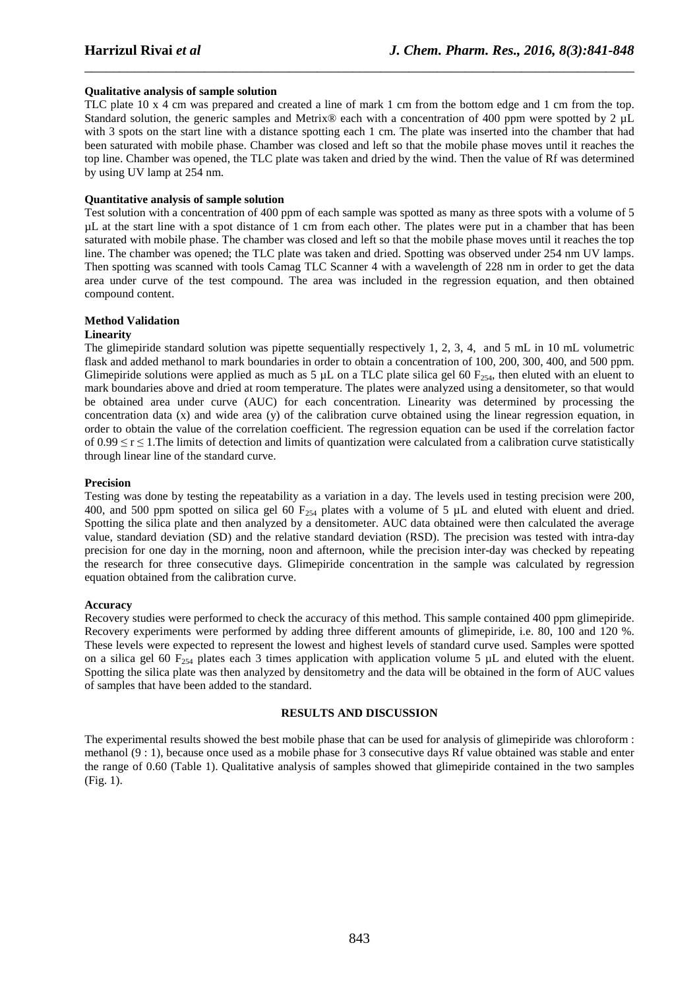### **Qualitative analysis of sample solution**

TLC plate 10 x 4 cm was prepared and created a line of mark 1 cm from the bottom edge and 1 cm from the top. Standard solution, the generic samples and Metrix® each with a concentration of 400 ppm were spotted by 2 µL with 3 spots on the start line with a distance spotting each 1 cm. The plate was inserted into the chamber that had been saturated with mobile phase. Chamber was closed and left so that the mobile phase moves until it reaches the top line. Chamber was opened, the TLC plate was taken and dried by the wind. Then the value of Rf was determined by using UV lamp at 254 nm.

\_\_\_\_\_\_\_\_\_\_\_\_\_\_\_\_\_\_\_\_\_\_\_\_\_\_\_\_\_\_\_\_\_\_\_\_\_\_\_\_\_\_\_\_\_\_\_\_\_\_\_\_\_\_\_\_\_\_\_\_\_\_\_\_\_\_\_\_\_\_\_\_\_\_\_\_\_\_

## **Quantitative analysis of sample solution**

Test solution with a concentration of 400 ppm of each sample was spotted as many as three spots with a volume of 5 µL at the start line with a spot distance of 1 cm from each other. The plates were put in a chamber that has been saturated with mobile phase. The chamber was closed and left so that the mobile phase moves until it reaches the top line. The chamber was opened; the TLC plate was taken and dried. Spotting was observed under 254 nm UV lamps. Then spotting was scanned with tools Camag TLC Scanner 4 with a wavelength of 228 nm in order to get the data area under curve of the test compound. The area was included in the regression equation, and then obtained compound content.

#### **Method Validation**

#### **Linearity**

The glimepiride standard solution was pipette sequentially respectively 1, 2, 3, 4, and 5 mL in 10 mL volumetric flask and added methanol to mark boundaries in order to obtain a concentration of 100, 200, 300, 400, and 500 ppm. Glimepiride solutions were applied as much as 5  $\mu$ L on a TLC plate silica gel 60 F<sub>254</sub>, then eluted with an eluent to mark boundaries above and dried at room temperature. The plates were analyzed using a densitometer, so that would be obtained area under curve (AUC) for each concentration. Linearity was determined by processing the concentration data (x) and wide area (y) of the calibration curve obtained using the linear regression equation, in order to obtain the value of the correlation coefficient. The regression equation can be used if the correlation factor of  $0.99 \le r \le 1$ . The limits of detection and limits of quantization were calculated from a calibration curve statistically through linear line of the standard curve.

#### **Precision**

Testing was done by testing the repeatability as a variation in a day. The levels used in testing precision were 200, 400, and 500 ppm spotted on silica gel 60  $F_{254}$  plates with a volume of 5  $\mu$ L and eluted with eluent and dried. Spotting the silica plate and then analyzed by a densitometer. AUC data obtained were then calculated the average value, standard deviation (SD) and the relative standard deviation (RSD). The precision was tested with intra-day precision for one day in the morning, noon and afternoon, while the precision inter-day was checked by repeating the research for three consecutive days. Glimepiride concentration in the sample was calculated by regression equation obtained from the calibration curve.

# **Accuracy**

Recovery studies were performed to check the accuracy of this method. This sample contained 400 ppm glimepiride. Recovery experiments were performed by adding three different amounts of glimepiride, i.e. 80, 100 and 120 %. These levels were expected to represent the lowest and highest levels of standard curve used. Samples were spotted on a silica gel 60  $F_{254}$  plates each 3 times application with application volume 5 µL and eluted with the eluent. Spotting the silica plate was then analyzed by densitometry and the data will be obtained in the form of AUC values of samples that have been added to the standard.

#### **RESULTS AND DISCUSSION**

The experimental results showed the best mobile phase that can be used for analysis of glimepiride was chloroform : methanol (9 : 1), because once used as a mobile phase for 3 consecutive days Rf value obtained was stable and enter the range of 0.60 (Table 1). Qualitative analysis of samples showed that glimepiride contained in the two samples (Fig. 1).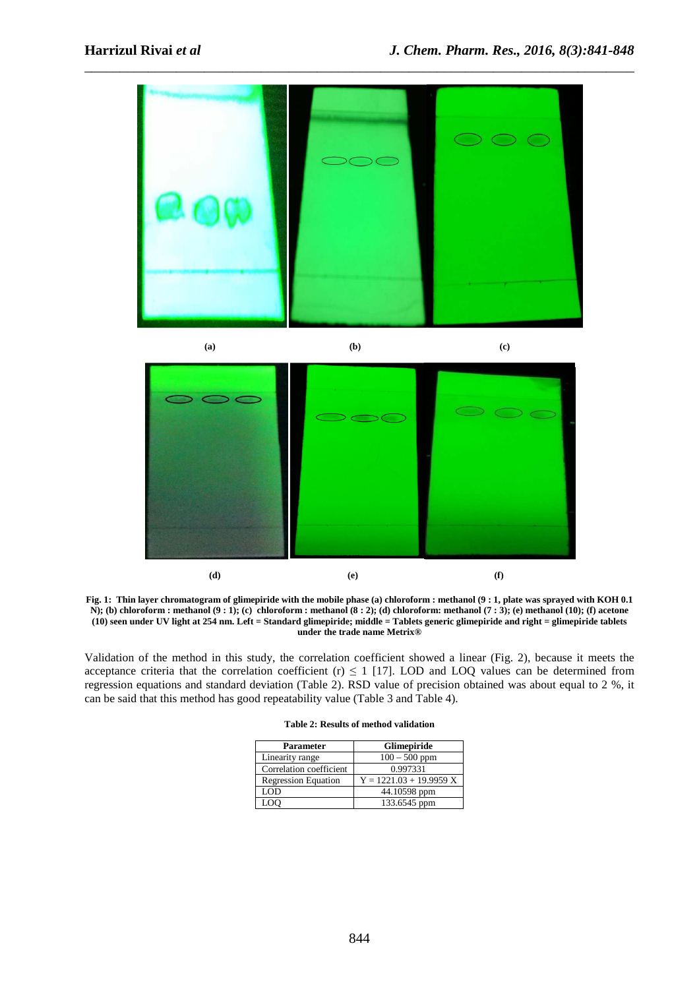

**Fig. 1: Thin layer chromatogram of glimepiride with the mobile phase (a) chloroform : methanol (9 : 1, plate was sprayed with KOH 0.1 N); (b) chloroform : methanol (9 : 1); (c) chloroform : methanol (8 : 2); (d) chloroform: methanol (7 : 3); (e) methanol (10); (f) acetone (10) seen under UV light at 254 nm. Left = Standard glimepiride; middle = Tablets generic glimepiride and right = glimepiride tablets under the trade name Metrix®** 

 **(d) (e) (f)** 

Validation of the method in this study, the correlation coefficient showed a linear (Fig. 2), because it meets the acceptance criteria that the correlation coefficient (r)  $\leq 1$  [17]. LOD and LOQ values can be determined from regression equations and standard deviation (Table 2). RSD value of precision obtained was about equal to 2 %, it can be said that this method has good repeatability value (Table 3 and Table 4).

| <b>Parameter</b>           | <b>Glimepiride</b>        |
|----------------------------|---------------------------|
| Linearity range            | $100 - 500$ ppm           |
| Correlation coefficient    | 0.997331                  |
| <b>Regression Equation</b> | $Y = 1221.03 + 19.9959 X$ |
| LOD                        | 44.10598 ppm              |
| LOO                        | 133.6545 ppm              |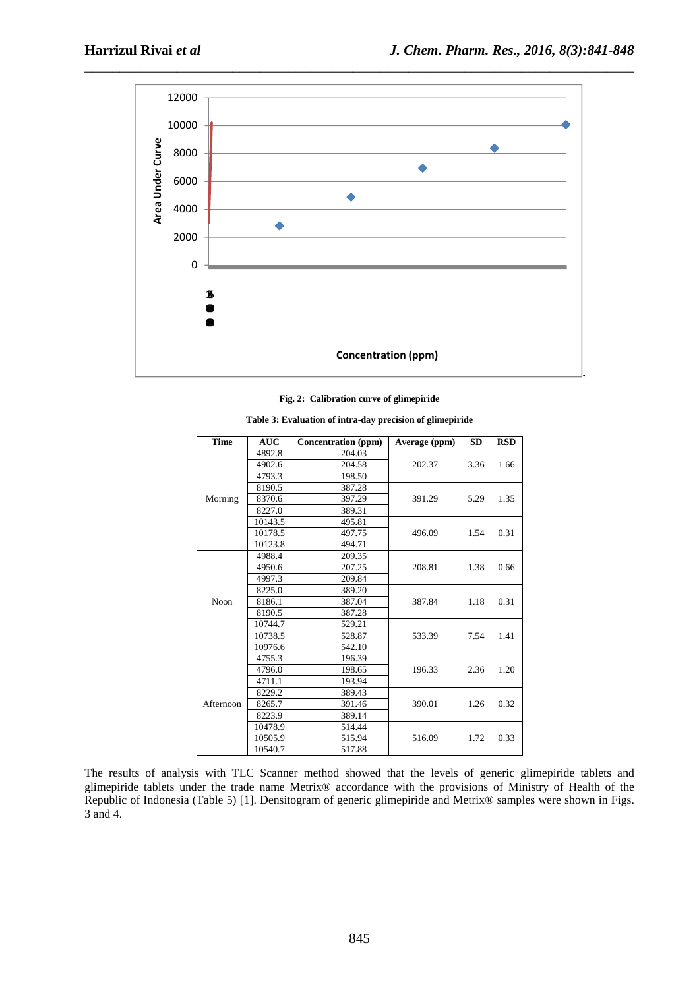

#### **Fig. 2: Calibration curve of glimepiride**

| <b>Time</b> | <b>AUC</b> | <b>Concentration</b> (ppm) | Average (ppm) | SD           | <b>RSD</b> |
|-------------|------------|----------------------------|---------------|--------------|------------|
|             | 4892.8     | 204.03                     |               | 3.36         |            |
|             | 4902.6     | 204.58                     | 202.37        |              | 1.66       |
|             | 4793.3     | 198.50                     |               |              |            |
|             | 8190.5     | 387.28                     |               |              |            |
| Morning     | 8370.6     | 397.29                     | 391.29        | 5.29         | 1.35       |
|             | 8227.0     | 389.31                     |               |              |            |
|             | 10143.5    | 495.81                     |               |              |            |
|             | 10178.5    | 497.75                     | 496.09        | 1.54         | 0.31       |
|             | 10123.8    | 494.71                     |               |              |            |
|             | 4988.4     | 209.35                     |               |              |            |
|             | 4950.6     | 207.25                     | 208.81        | 1.38         | 0.66       |
| Noon        | 4997.3     | 209.84                     |               |              |            |
|             | 8225.0     | 389.20                     |               | 1.18         |            |
|             | 8186.1     | 387.04                     | 387.84        |              | 0.31       |
|             | 8190.5     | 387.28                     |               |              |            |
|             | 10744.7    | 529.21                     |               | 7.54         |            |
|             | 10738.5    | 528.87                     | 533.39        |              | 1.41       |
|             | 10976.6    | 542.10                     |               |              |            |
|             | 4755.3     | 196.39                     |               | 2.36<br>1.26 |            |
|             | 4796.0     | 198.65                     | 196.33        |              | 1.20       |
|             | 4711.1     | 193.94                     |               |              |            |
| Afternoon   | 8229.2     | 389.43                     |               |              |            |
|             | 8265.7     | 391.46                     | 390.01        |              | 0.32       |
|             | 8223.9     | 389.14                     |               |              |            |
|             | 10478.9    | 514.44                     |               | 1.72         |            |
|             | 10505.9    | 515.94                     | 516.09        |              | 0.33       |
|             | 10540.7    | 517.88                     |               |              |            |

**Table 3: Evaluation of intra-day precision of glimepiride** 

The results of analysis with TLC Scanner method showed that the levels of generic glimepiride tablets and glimepiride tablets under the trade name Metrix® accordance with the provisions of Ministry of Health of the Republic of Indonesia (Table 5) [1]. Densitogram of generic glimepiride and Metrix® samples were shown in Figs. 3 and 4.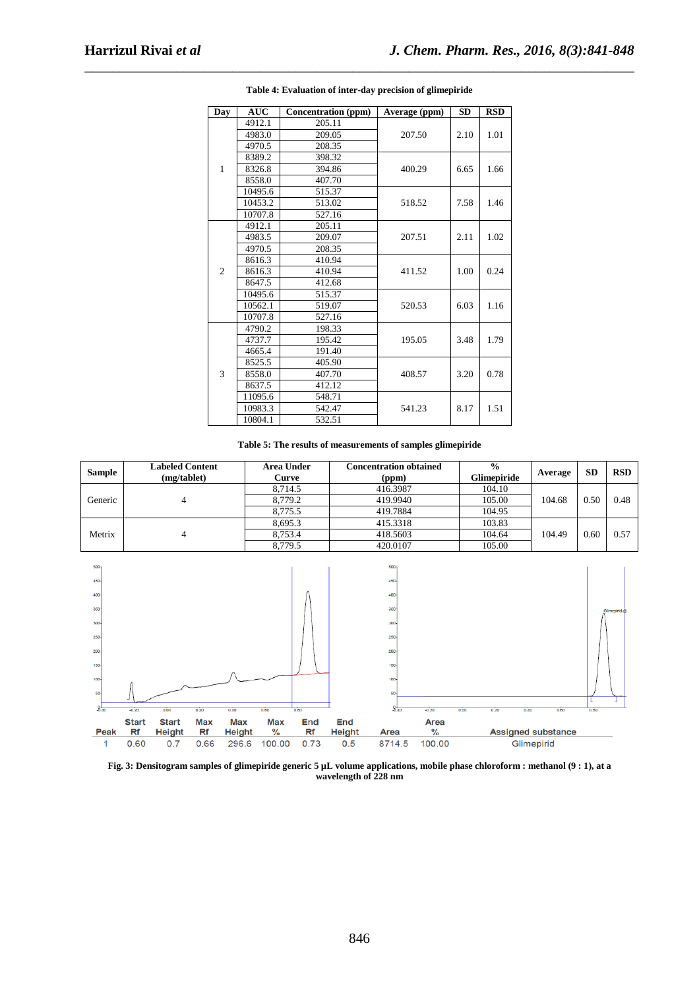| Day            | AUC     | Concentration (ppm) | Average (ppm) | <b>SD</b> | <b>RSD</b> |
|----------------|---------|---------------------|---------------|-----------|------------|
|                | 4912.1  | 205.11              |               |           |            |
|                | 4983.0  | 209.05              | 207.50        | 2.10      | 1.01       |
|                | 4970.5  | 208.35              |               |           |            |
|                | 8389.2  | 398.32              |               |           |            |
| 1              | 8326.8  | 394.86              | 400.29        | 6.65      | 1.66       |
|                | 8558.0  | 407.70              |               |           |            |
|                | 10495.6 | 515.37              |               |           |            |
|                | 10453.2 | 513.02              | 518.52        | 7.58      | 1.46       |
|                | 10707.8 | 527.16              |               |           |            |
|                | 4912.1  | 205.11              |               |           |            |
|                | 4983.5  | 209.07              | 207.51        | 2.11      | 1.02       |
|                | 4970.5  | 208.35              |               |           |            |
|                | 8616.3  | 410.94              |               |           | 0.24       |
| $\overline{2}$ | 8616.3  | 410.94              | 411.52        | 1.00      |            |
|                | 8647.5  | 412.68              |               |           |            |
|                | 10495.6 | 515.37              |               |           |            |
|                | 10562.1 | 519.07              | 520.53        | 6.03      | 1.16       |
|                | 10707.8 | 527.16              |               |           |            |
|                | 4790.2  | 198.33              |               |           |            |
|                | 4737.7  | 195.42              | 195.05        | 3.48      | 1.79       |
|                | 4665.4  | 191.40              |               |           |            |
|                | 8525.5  | 405.90              |               |           |            |
| 3              | 8558.0  | 407.70              | 408.57        | 3.20      | 0.78       |
|                | 8637.5  | 412.12              |               |           |            |
|                | 11095.6 | 548.71              |               |           |            |
|                | 10983.3 | 542.47              | 541.23        | 8.17      | 1.51       |
|                | 10804.1 | 532.51              |               |           |            |

\_\_\_\_\_\_\_\_\_\_\_\_\_\_\_\_\_\_\_\_\_\_\_\_\_\_\_\_\_\_\_\_\_\_\_\_\_\_\_\_\_\_\_\_\_\_\_\_\_\_\_\_\_\_\_\_\_\_\_\_\_\_\_\_\_\_\_\_\_\_\_\_\_\_\_\_\_\_ **Table 4: Evaluation of inter-day precision of glimepiride** 

#### **Table 5: The results of measurements of samples glimepiride**

| <b>Sample</b> | <b>Labeled Content</b><br>(mg/tablet) | Area Under<br>Curve | <b>Concentration obtained</b><br>(ppm) | $\frac{6}{9}$<br><b>Glimepiride</b> | Average | <b>SD</b> | <b>RSD</b> |
|---------------|---------------------------------------|---------------------|----------------------------------------|-------------------------------------|---------|-----------|------------|
|               |                                       | 8.714.5             | 416.3987                               | 104.10                              |         |           |            |
| Generic       |                                       | 8.779.2             | 419.9940                               | 105.00                              | 104.68  | 0.50      | 0.48       |
|               |                                       | 8.775.5             | 419.7884                               | 104.95                              |         |           |            |
| Metrix        |                                       | 8.695.3             | 415.3318                               | 103.83                              | 104.49  |           |            |
|               |                                       | 8.753.4             | 418.5603                               | 104.64                              |         | 0.60      | 0.57       |
|               |                                       | 8.779.5             | 420.0107                               | 105.00                              |         |           |            |



**Fig. 3: Densitogram samples of glimepiride generic 5 µL volume applications, mobile phase chloroform : methanol (9 : 1), at a wavelength of 228 nm**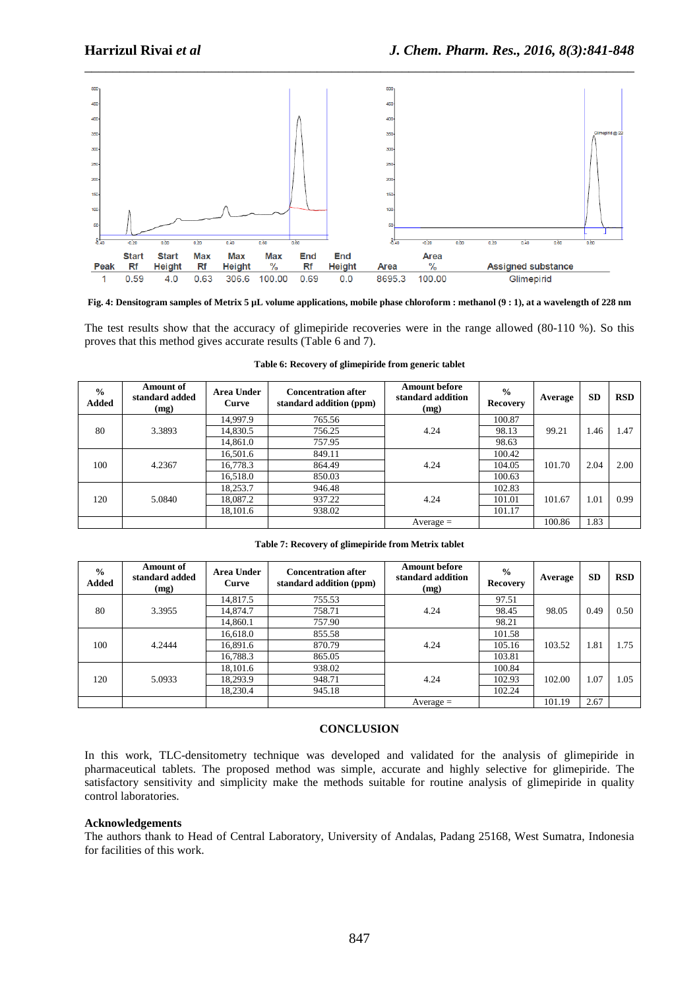

**Fig. 4: Densitogram samples of Metrix 5 µL volume applications, mobile phase chloroform : methanol (9 : 1), at a wavelength of 228 nm** 

The test results show that the accuracy of glimepiride recoveries were in the range allowed (80-110 %). So this proves that this method gives accurate results (Table 6 and 7).

| $\frac{0}{0}$<br><b>Added</b> | Amount of<br>standard added<br>(mg) | Area Under<br>Curve | <b>Concentration after</b><br>standard addition (ppm) | <b>Amount before</b><br>standard addition<br>(mg) | $\frac{0}{0}$<br><b>Recovery</b> | Average | <b>SD</b> | <b>RSD</b> |
|-------------------------------|-------------------------------------|---------------------|-------------------------------------------------------|---------------------------------------------------|----------------------------------|---------|-----------|------------|
|                               |                                     | 14.997.9            | 765.56                                                |                                                   | 100.87                           |         |           |            |
| 80                            | 3.3893                              | 14,830.5            | 756.25                                                | 4.24                                              | 98.13                            | 99.21   | 1.46      | 1.47       |
|                               |                                     | 14,861.0            | 757.95                                                |                                                   | 98.63                            |         |           |            |
|                               | 4.2367                              | 16,501.6            | 849.11                                                | 4.24                                              | 100.42                           |         |           |            |
| 100                           |                                     | 16,778.3            | 864.49                                                |                                                   | 104.05                           | 101.70  | 2.04      | 2.00       |
|                               |                                     | 16,518.0            | 850.03                                                |                                                   | 100.63                           |         |           |            |
| 120                           | 5.0840                              | 18,253.7            | 946.48                                                | 4.24                                              | 102.83                           |         |           |            |
|                               |                                     | 18,087.2            | 937.22                                                |                                                   | 101.01                           | 101.67  | 1.01      | 0.99       |
|                               |                                     | 18,101.6            | 938.02                                                |                                                   | 101.17                           |         |           |            |
|                               |                                     |                     |                                                       | $Average =$                                       |                                  | 100.86  | 1.83      |            |

**Table 6: Recovery of glimepiride from generic tablet** 

| $\frac{6}{6}$<br><b>Added</b> | Amount of<br>standard added<br>(mg) | Area Under<br>Curve | <b>Concentration after</b><br>standard addition (ppm) | <b>Amount before</b><br>standard addition<br>(mg) | $\frac{0}{0}$<br><b>Recovery</b> | Average | <b>SD</b> | <b>RSD</b> |
|-------------------------------|-------------------------------------|---------------------|-------------------------------------------------------|---------------------------------------------------|----------------------------------|---------|-----------|------------|
|                               |                                     | 14,817.5            | 755.53                                                |                                                   | 97.51                            |         |           |            |
| 80                            | 3.3955                              | 14,874.7            | 758.71                                                | 4.24                                              | 98.45                            | 98.05   | 0.49      | 0.50       |
|                               |                                     | 14,860.1            | 757.90                                                |                                                   | 98.21                            |         |           |            |
|                               | 4.2444                              | 16,618.0            | 855.58                                                | 4.24                                              | 101.58                           | 103.52  | 1.81      | 1.75       |
| 100                           |                                     | 16,891.6            | 870.79                                                |                                                   | 105.16                           |         |           |            |
|                               |                                     | 16,788.3            | 865.05                                                |                                                   | 103.81                           |         |           |            |
|                               | 5.0933                              | 18,101.6            | 938.02                                                | 4.24                                              | 100.84                           |         |           |            |
| 120                           |                                     | 18.293.9            | 948.71                                                |                                                   | 102.93                           | 102.00  | 1.07      | 1.05       |
|                               |                                     | 18.230.4            | 945.18                                                |                                                   | 102.24                           |         |           |            |
|                               |                                     |                     |                                                       | $Average =$                                       |                                  | 101.19  | 2.67      |            |

#### **CONCLUSION**

In this work, TLC-densitometry technique was developed and validated for the analysis of glimepiride in pharmaceutical tablets. The proposed method was simple, accurate and highly selective for glimepiride. The satisfactory sensitivity and simplicity make the methods suitable for routine analysis of glimepiride in quality control laboratories.

#### **Acknowledgements**

The authors thank to Head of Central Laboratory, University of Andalas, Padang 25168, West Sumatra, Indonesia for facilities of this work.